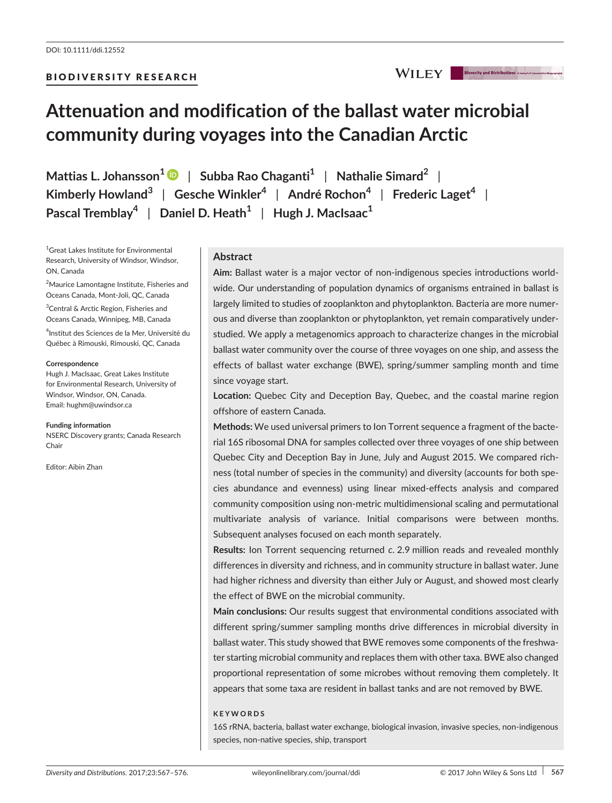# **Attenuation and modification of the ballast water microbial community during voyages into the Canadian Arctic**

**Mattias L. Johansson[1](http://orcid.org/0000-0003-3042-750X)** | **Subba Rao Chaganti<sup>1</sup>** | **Nathalie Simard<sup>2</sup>** | **Kimberly Howland<sup>3</sup>** | **Gesche Winkler<sup>4</sup>** | **André Rochon<sup>4</sup>** | **Frederic Laget<sup>4</sup>** | **Pascal Tremblay<sup>4</sup>** | **Daniel D. Heath<sup>1</sup>** | **Hugh J. MacIsaac<sup>1</sup>**

1 Great Lakes Institute for Environmental Research, University of Windsor, Windsor, ON, Canada

<sup>2</sup>Maurice Lamontagne Institute, Fisheries and Oceans Canada, Mont-Joli, QC, Canada

<sup>3</sup>Central & Arctic Region, Fisheries and Oceans Canada, Winnipeg, MB, Canada

4 Institut des Sciences de la Mer, Université du Québec à Rimouski, Rimouski, QC, Canada

#### **Correspondence**

Hugh J. MacIsaac, Great Lakes Institute for Environmental Research, University of Windsor, Windsor, ON, Canada. Email: [hughm@uwindsor.ca](mailto:hughm@uwindsor.ca)

#### **Funding information**

NSERC Discovery grants; Canada Research Chair

Editor: Aibin Zhan

# **Abstract**

**Aim:** Ballast water is a major vector of non-indigenous species introductions worldwide. Our understanding of population dynamics of organisms entrained in ballast is largely limited to studies of zooplankton and phytoplankton. Bacteria are more numerous and diverse than zooplankton or phytoplankton, yet remain comparatively understudied. We apply a metagenomics approach to characterize changes in the microbial ballast water community over the course of three voyages on one ship, and assess the effects of ballast water exchange (BWE), spring/summer sampling month and time since voyage start.

**Location:** Quebec City and Deception Bay, Quebec, and the coastal marine region offshore of eastern Canada.

**Methods:** We used universal primers to Ion Torrent sequence a fragment of the bacterial 16S ribosomal DNA for samples collected over three voyages of one ship between Quebec City and Deception Bay in June, July and August 2015. We compared richness (total number of species in the community) and diversity (accounts for both species abundance and evenness) using linear mixed-effects analysis and compared community composition using non-metric multidimensional scaling and permutational multivariate analysis of variance. Initial comparisons were between months. Subsequent analyses focused on each month separately.

**Results:** Ion Torrent sequencing returned *c*. 2.9 million reads and revealed monthly differences in diversity and richness, and in community structure in ballast water. June had higher richness and diversity than either July or August, and showed most clearly the effect of BWE on the microbial community.

**Main conclusions:** Our results suggest that environmental conditions associated with different spring/summer sampling months drive differences in microbial diversity in ballast water. This study showed that BWE removes some components of the freshwater starting microbial community and replaces them with other taxa. BWE also changed proportional representation of some microbes without removing them completely. It appears that some taxa are resident in ballast tanks and are not removed by BWE.

## **KEYWORDS**

16S rRNA, bacteria, ballast water exchange, biological invasion, invasive species, non-indigenous species, non-native species, ship, transport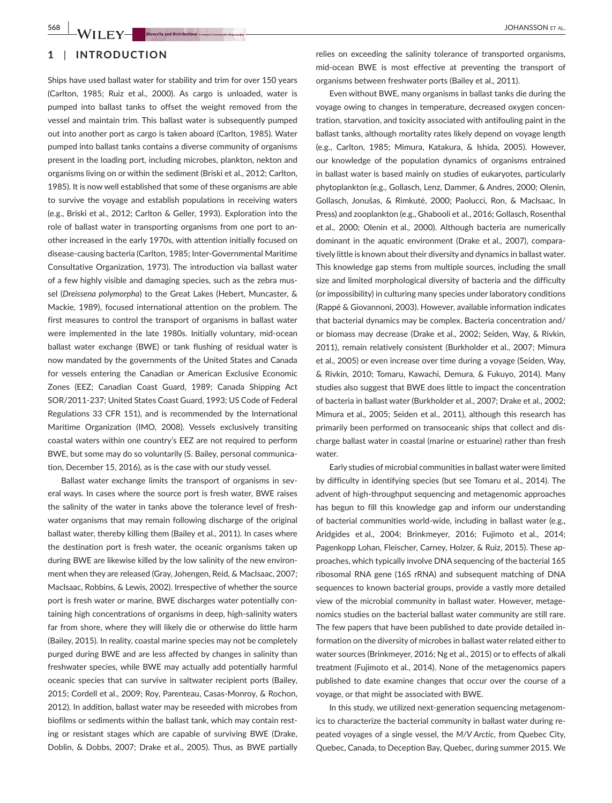# **1** | **INTRODUCTION**

Ships have used ballast water for stability and trim for over 150 years (Carlton, 1985; Ruiz et al., 2000). As cargo is unloaded, water is pumped into ballast tanks to offset the weight removed from the vessel and maintain trim. This ballast water is subsequently pumped out into another port as cargo is taken aboard (Carlton, 1985). Water pumped into ballast tanks contains a diverse community of organisms present in the loading port, including microbes, plankton, nekton and organisms living on or within the sediment (Briski et al., 2012; Carlton, 1985). It is now well established that some of these organisms are able to survive the voyage and establish populations in receiving waters (e.g., Briski et al., 2012; Carlton & Geller, 1993). Exploration into the role of ballast water in transporting organisms from one port to another increased in the early 1970s, with attention initially focused on disease-causing bacteria (Carlton, 1985; Inter-Governmental Maritime Consultative Organization, 1973). The introduction via ballast water of a few highly visible and damaging species, such as the zebra mussel (*Dreissena polymorpha*) to the Great Lakes (Hebert, Muncaster, & Mackie, 1989), focused international attention on the problem. The first measures to control the transport of organisms in ballast water were implemented in the late 1980s. Initially voluntary, mid-ocean ballast water exchange (BWE) or tank flushing of residual water is now mandated by the governments of the United States and Canada for vessels entering the Canadian or American Exclusive Economic Zones (EEZ; Canadian Coast Guard, 1989; Canada Shipping Act SOR/2011-237; United States Coast Guard, 1993; US Code of Federal Regulations 33 CFR 151), and is recommended by the International Maritime Organization (IMO, 2008). Vessels exclusively transiting coastal waters within one country's EEZ are not required to perform BWE, but some may do so voluntarily (S. Bailey, personal communication, December 15, 2016), as is the case with our study vessel.

Ballast water exchange limits the transport of organisms in several ways. In cases where the source port is fresh water, BWE raises the salinity of the water in tanks above the tolerance level of freshwater organisms that may remain following discharge of the original ballast water, thereby killing them (Bailey et al., 2011). In cases where the destination port is fresh water, the oceanic organisms taken up during BWE are likewise killed by the low salinity of the new environment when they are released (Gray, Johengen, Reid, & MacIsaac, 2007; MacIsaac, Robbins, & Lewis, 2002). Irrespective of whether the source port is fresh water or marine, BWE discharges water potentially containing high concentrations of organisms in deep, high-salinity waters far from shore, where they will likely die or otherwise do little harm (Bailey, 2015). In reality, coastal marine species may not be completely purged during BWE and are less affected by changes in salinity than freshwater species, while BWE may actually add potentially harmful oceanic species that can survive in saltwater recipient ports (Bailey, 2015; Cordell et al., 2009; Roy, Parenteau, Casas-Monroy, & Rochon, 2012). In addition, ballast water may be reseeded with microbes from biofilms or sediments within the ballast tank, which may contain resting or resistant stages which are capable of surviving BWE (Drake, Doblin, & Dobbs, 2007; Drake et al., 2005). Thus, as BWE partially

relies on exceeding the salinity tolerance of transported organisms, mid-ocean BWE is most effective at preventing the transport of organisms between freshwater ports (Bailey et al., 2011).

Even without BWE, many organisms in ballast tanks die during the voyage owing to changes in temperature, decreased oxygen concentration, starvation, and toxicity associated with antifouling paint in the ballast tanks, although mortality rates likely depend on voyage length (e.g., Carlton, 1985; Mimura, Katakura, & Ishida, 2005). However, our knowledge of the population dynamics of organisms entrained in ballast water is based mainly on studies of eukaryotes, particularly phytoplankton (e.g., Gollasch, Lenz, Dammer, & Andres, 2000; Olenin, Gollasch, Jonušas, & Rimkutė, 2000; Paolucci, Ron, & MacIsaac, In Press) and zooplankton (e.g., Ghabooli et al., 2016; Gollasch, Rosenthal et al., 2000; Olenin et al., 2000). Although bacteria are numerically dominant in the aquatic environment (Drake et al., 2007), comparatively little is known about their diversity and dynamics in ballast water. This knowledge gap stems from multiple sources, including the small size and limited morphological diversity of bacteria and the difficulty (or impossibility) in culturing many species under laboratory conditions (Rappé & Giovannoni, 2003). However, available information indicates that bacterial dynamics may be complex. Bacteria concentration and/ or biomass may decrease (Drake et al., 2002; Seiden, Way, & Rivkin, 2011), remain relatively consistent (Burkholder et al., 2007; Mimura et al., 2005) or even increase over time during a voyage (Seiden, Way, & Rivkin, 2010; Tomaru, Kawachi, Demura, & Fukuyo, 2014). Many studies also suggest that BWE does little to impact the concentration of bacteria in ballast water (Burkholder et al., 2007; Drake et al., 2002; Mimura et al., 2005; Seiden et al., 2011), although this research has primarily been performed on transoceanic ships that collect and discharge ballast water in coastal (marine or estuarine) rather than fresh water.

Early studies of microbial communities in ballast water were limited by difficulty in identifying species (but see Tomaru et al., 2014). The advent of high-throughput sequencing and metagenomic approaches has begun to fill this knowledge gap and inform our understanding of bacterial communities world-wide, including in ballast water (e.g., Aridgides et al., 2004; Brinkmeyer, 2016; Fujimoto et al., 2014; Pagenkopp Lohan, Fleischer, Carney, Holzer, & Ruiz, 2015). These approaches, which typically involve DNA sequencing of the bacterial 16S ribosomal RNA gene (16S rRNA) and subsequent matching of DNA sequences to known bacterial groups, provide a vastly more detailed view of the microbial community in ballast water. However, metagenomics studies on the bacterial ballast water community are still rare. The few papers that have been published to date provide detailed information on the diversity of microbes in ballast water related either to water sources (Brinkmeyer, 2016; Ng et al., 2015) or to effects of alkali treatment (Fujimoto et al., 2014). None of the metagenomics papers published to date examine changes that occur over the course of a voyage, or that might be associated with BWE.

In this study, we utilized next-generation sequencing metagenomics to characterize the bacterial community in ballast water during repeated voyages of a single vessel, the *M/V Arctic*, from Quebec City, Quebec, Canada, to Deception Bay, Quebec, during summer 2015. We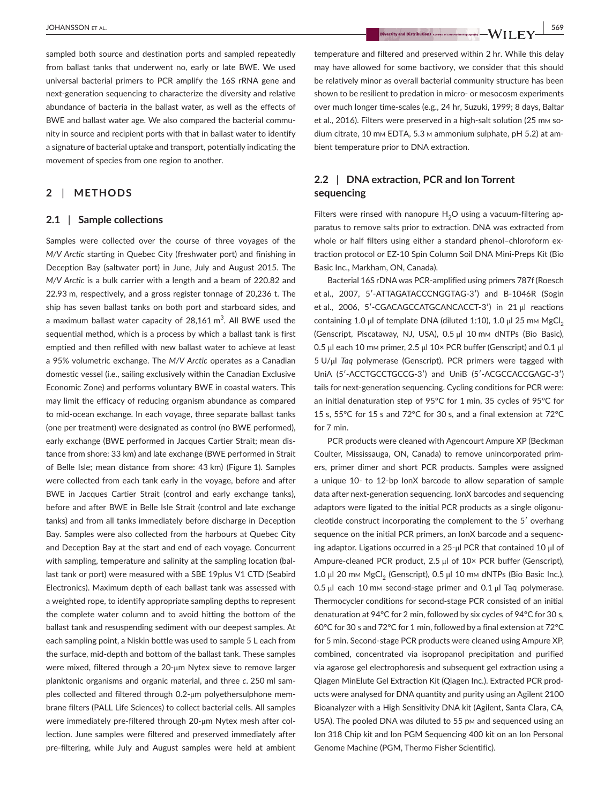sampled both source and destination ports and sampled repeatedly from ballast tanks that underwent no, early or late BWE. We used universal bacterial primers to PCR amplify the 16S rRNA gene and next-generation sequencing to characterize the diversity and relative abundance of bacteria in the ballast water, as well as the effects of BWE and ballast water age. We also compared the bacterial community in source and recipient ports with that in ballast water to identify a signature of bacterial uptake and transport, potentially indicating the movement of species from one region to another.

# **2** | **METHODS**

#### **2.1** | **Sample collections**

Samples were collected over the course of three voyages of the *M/V Arctic* starting in Quebec City (freshwater port) and finishing in Deception Bay (saltwater port) in June, July and August 2015. The *M/V Arctic* is a bulk carrier with a length and a beam of 220.82 and 22.93 m, respectively, and a gross register tonnage of 20,236 t. The ship has seven ballast tanks on both port and starboard sides, and a maximum ballast water capacity of 28,161  $\text{m}^{3}$ . All BWE used the sequential method, which is a process by which a ballast tank is first emptied and then refilled with new ballast water to achieve at least a 95% volumetric exchange. The *M/V Arctic* operates as a Canadian domestic vessel (i.e., sailing exclusively within the Canadian Exclusive Economic Zone) and performs voluntary BWE in coastal waters. This may limit the efficacy of reducing organism abundance as compared to mid-ocean exchange. In each voyage, three separate ballast tanks (one per treatment) were designated as control (no BWE performed), early exchange (BWE performed in Jacques Cartier Strait; mean distance from shore: 33 km) and late exchange (BWE performed in Strait of Belle Isle; mean distance from shore: 43 km) (Figure 1). Samples were collected from each tank early in the voyage, before and after BWE in Jacques Cartier Strait (control and early exchange tanks), before and after BWE in Belle Isle Strait (control and late exchange tanks) and from all tanks immediately before discharge in Deception Bay. Samples were also collected from the harbours at Quebec City and Deception Bay at the start and end of each voyage. Concurrent with sampling, temperature and salinity at the sampling location (ballast tank or port) were measured with a SBE 19plus V1 CTD (Seabird Electronics). Maximum depth of each ballast tank was assessed with a weighted rope, to identify appropriate sampling depths to represent the complete water column and to avoid hitting the bottom of the ballast tank and resuspending sediment with our deepest samples. At each sampling point, a Niskin bottle was used to sample 5 L each from the surface, mid-depth and bottom of the ballast tank. These samples were mixed, filtered through a 20-μm Nytex sieve to remove larger planktonic organisms and organic material, and three *c*. 250 ml samples collected and filtered through 0.2-μm polyethersulphone membrane filters (PALL Life Sciences) to collect bacterial cells. All samples were immediately pre-filtered through 20-μm Nytex mesh after collection. June samples were filtered and preserved immediately after pre-filtering, while July and August samples were held at ambient

temperature and filtered and preserved within 2 hr. While this delay may have allowed for some bactivory, we consider that this should be relatively minor as overall bacterial community structure has been shown to be resilient to predation in micro- or mesocosm experiments over much longer time-scales (e.g., 24 hr, Suzuki, 1999; 8 days, Baltar et al., 2016). Filters were preserved in a high-salt solution (25 mm sodium citrate, 10 mm EDTA, 5.3 m ammonium sulphate, pH 5.2) at ambient temperature prior to DNA extraction.

# **2.2** | **DNA extraction, PCR and Ion Torrent sequencing**

Filters were rinsed with nanopure  $H_2O$  using a vacuum-filtering apparatus to remove salts prior to extraction. DNA was extracted from whole or half filters using either a standard phenol–chloroform extraction protocol or EZ-10 Spin Column Soil DNA Mini-Preps Kit (Bio Basic Inc., Markham, ON, Canada).

Bacterial 16S rDNA was PCR-amplified using primers 787f (Roesch et al., 2007, 5′-ATTAGATACCCNGGTAG-3′) and B-1046R (Sogin et al., 2006, 5′-CGACAGCCATGCANCACCT-3′) in 21 μl reactions containing 1.0 μl of template DNA (diluted 1:10), 1.0 μl 25 mm MgCl<sub>2</sub> (Genscript, Piscataway, NJ, USA), 0.5 μl 10 mm dNTPs (Bio Basic), 0.5 μl each 10 mm primer, 2.5 μl 10× PCR buffer (Genscript) and 0.1 μl 5 U/μl *Taq* polymerase (Genscript). PCR primers were tagged with UniA (5′-ACCTGCCTGCCG-3′) and UniB (5′-ACGCCACCGAGC-3′) tails for next-generation sequencing. Cycling conditions for PCR were: an initial denaturation step of 95°C for 1 min, 35 cycles of 95°C for 15 s, 55°C for 15 s and 72°C for 30 s, and a final extension at 72°C for 7 min.

PCR products were cleaned with Agencourt Ampure XP (Beckman Coulter, Mississauga, ON, Canada) to remove unincorporated primers, primer dimer and short PCR products. Samples were assigned a unique 10- to 12-bp IonX barcode to allow separation of sample data after next-generation sequencing. IonX barcodes and sequencing adaptors were ligated to the initial PCR products as a single oligonucleotide construct incorporating the complement to the 5′ overhang sequence on the initial PCR primers, an IonX barcode and a sequencing adaptor. Ligations occurred in a 25-μl PCR that contained 10 μl of Ampure-cleaned PCR product, 2.5 μl of 10× PCR buffer (Genscript), 1.0 μl 20 mm MgCl<sub>2</sub> (Genscript), 0.5 μl 10 mm dNTPs (Bio Basic Inc.), 0.5 μl each 10 mm second-stage primer and 0.1 μl Taq polymerase. Thermocycler conditions for second-stage PCR consisted of an initial denaturation at 94°C for 2 min, followed by six cycles of 94°C for 30 s, 60°C for 30 s and 72°C for 1 min, followed by a final extension at 72°C for 5 min. Second-stage PCR products were cleaned using Ampure XP, combined, concentrated via isopropanol precipitation and purified via agarose gel electrophoresis and subsequent gel extraction using a Qiagen MinElute Gel Extraction Kit (Qiagen Inc.). Extracted PCR products were analysed for DNA quantity and purity using an Agilent 2100 Bioanalyzer with a High Sensitivity DNA kit (Agilent, Santa Clara, CA, USA). The pooled DNA was diluted to 55 pm and sequenced using an Ion 318 Chip kit and Ion PGM Sequencing 400 kit on an Ion Personal Genome Machine (PGM, Thermo Fisher Scientific).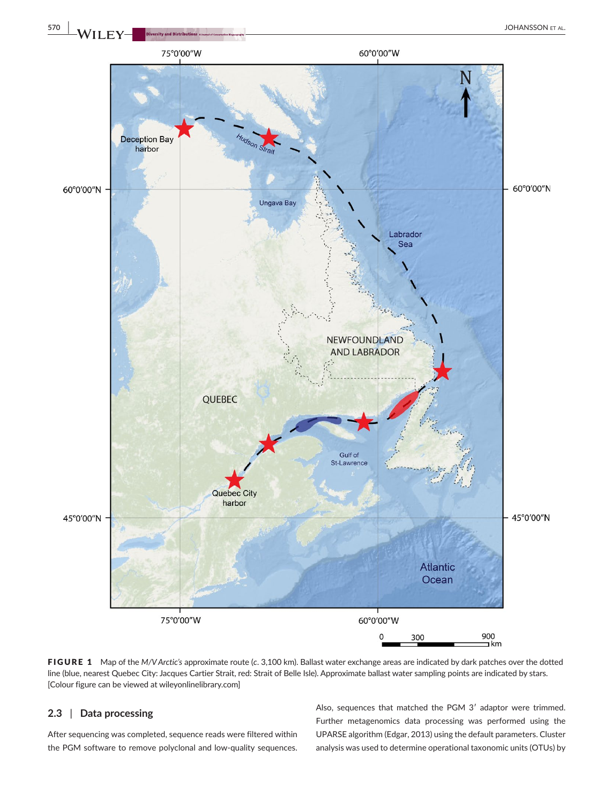

FIGURE 1 Map of the *M/V Arctic's* approximate route (*c*. 3,100 km). Ballast water exchange areas are indicated by dark patches over the dotted line (blue, nearest Quebec City: Jacques Cartier Strait, red: Strait of Belle Isle). Approximate ballast water sampling points are indicated by stars. [Colour figure can be viewed at wileyonlinelibrary.com]

# **2.3** | **Data processing**

After sequencing was completed, sequence reads were filtered within the PGM software to remove polyclonal and low-quality sequences.

Also, sequences that matched the PGM 3′ adaptor were trimmed. Further metagenomics data processing was performed using the UPARSE algorithm (Edgar, 2013) using the default parameters. Cluster analysis was used to determine operational taxonomic units (OTUs) by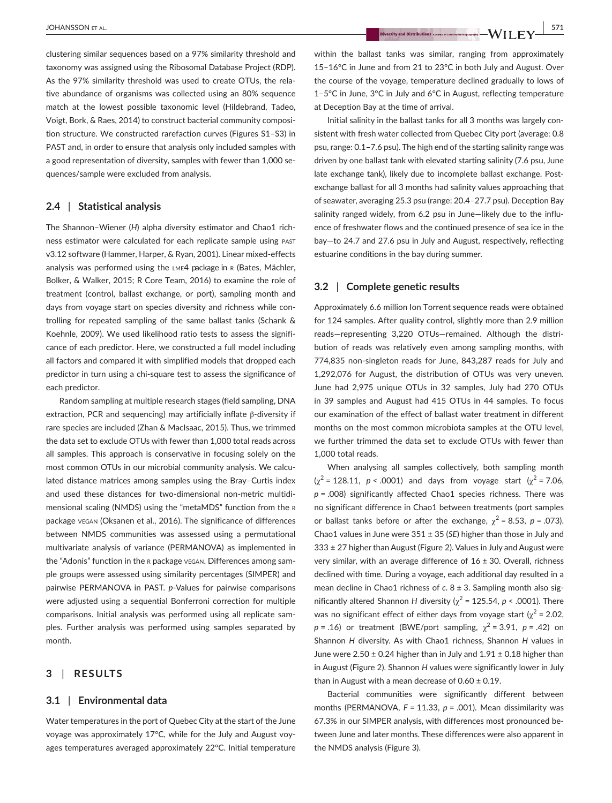clustering similar sequences based on a 97% similarity threshold and taxonomy was assigned using the Ribosomal Database Project (RDP). As the 97% similarity threshold was used to create OTUs, the relative abundance of organisms was collected using an 80% sequence match at the lowest possible taxonomic level (Hildebrand, Tadeo, Voigt, Bork, & Raes, 2014) to construct bacterial community composition structure. We constructed rarefaction curves (Figures S1–S3) in PAST and, in order to ensure that analysis only included samples with a good representation of diversity, samples with fewer than 1,000 sequences/sample were excluded from analysis.

# **2.4** | **Statistical analysis**

The Shannon-Wiener (H) alpha diversity estimator and Chao1 richness estimator were calculated for each replicate sample using past v3.12 software (Hammer, Harper, & Ryan, 2001). Linear mixed-effects analysis was performed using the LME4 package in R (Bates, Mächler, Bolker, & Walker, 2015; R Core Team, 2016) to examine the role of treatment (control, ballast exchange, or port), sampling month and days from voyage start on species diversity and richness while controlling for repeated sampling of the same ballast tanks (Schank & Koehnle, 2009). We used likelihood ratio tests to assess the significance of each predictor. Here, we constructed a full model including all factors and compared it with simplified models that dropped each predictor in turn using a chi-square test to assess the significance of each predictor.

Random sampling at multiple research stages (field sampling, DNA extraction, PCR and sequencing) may artificially inflate β-diversity if rare species are included (Zhan & MacIsaac, 2015). Thus, we trimmed the data set to exclude OTUs with fewer than 1,000 total reads across all samples. This approach is conservative in focusing solely on the most common OTUs in our microbial community analysis. We calculated distance matrices among samples using the Bray–Curtis index and used these distances for two-dimensional non-metric multidimensional scaling (NMDS) using the "metaMDS" function from the <sup>r</sup> package vegan (Oksanen et al., 2016). The significance of differences between NMDS communities was assessed using a permutational multivariate analysis of variance (PERMANOVA) as implemented in the "Adonis" function in the r package vegan. Differences among sample groups were assessed using similarity percentages (SIMPER) and pairwise PERMANOVA in PAST. *p*-Values for pairwise comparisons were adjusted using a sequential Bonferroni correction for multiple comparisons. Initial analysis was performed using all replicate samples. Further analysis was performed using samples separated by month.

## **3** | **RESULTS**

#### **3.1** | **Environmental data**

Water temperatures in the port of Quebec City at the start of the June voyage was approximately 17°C, while for the July and August voyages temperatures averaged approximately 22°C. Initial temperature within the ballast tanks was similar, ranging from approximately 15–16°C in June and from 21 to 23°C in both July and August. Over the course of the voyage, temperature declined gradually to lows of 1–5°C in June, 3°C in July and 6°C in August, reflecting temperature at Deception Bay at the time of arrival.

Initial salinity in the ballast tanks for all 3 months was largely consistent with fresh water collected from Quebec City port (average: 0.8 psu, range: 0.1–7.6 psu). The high end of the starting salinity range was driven by one ballast tank with elevated starting salinity (7.6 psu, June late exchange tank), likely due to incomplete ballast exchange. Postexchange ballast for all 3 months had salinity values approaching that of seawater, averaging 25.3 psu (range: 20.4–27.7 psu). Deception Bay salinity ranged widely, from 6.2 psu in June—likely due to the influence of freshwater flows and the continued presence of sea ice in the bay—to 24.7 and 27.6 psu in July and August, respectively, reflecting estuarine conditions in the bay during summer.

## **3.2** | **Complete genetic results**

Approximately 6.6 million Ion Torrent sequence reads were obtained for 124 samples. After quality control, slightly more than 2.9 million reads—representing 3,220 OTUs—remained. Although the distribution of reads was relatively even among sampling months, with 774,835 non-singleton reads for June, 843,287 reads for July and 1,292,076 for August, the distribution of OTUs was very uneven. June had 2,975 unique OTUs in 32 samples, July had 270 OTUs in 39 samples and August had 415 OTUs in 44 samples. To focus our examination of the effect of ballast water treatment in different months on the most common microbiota samples at the OTU level, we further trimmed the data set to exclude OTUs with fewer than 1,000 total reads.

When analysing all samples collectively, both sampling month  $(y^2 = 128.11, p < .0001)$  and days from voyage start  $(y^2 = 7.06,$ *p* = .008) significantly affected Chao1 species richness. There was no significant difference in Chao1 between treatments (port samples or ballast tanks before or after the exchange,  $\gamma^2$  = 8.53, *p* = .073). Chao1 values in June were 351 ± 35 (*SE*) higher than those in July and  $333 \pm 27$  higher than August (Figure 2). Values in July and August were very similar, with an average difference of  $16 \pm 30$ . Overall, richness declined with time. During a voyage, each additional day resulted in a mean decline in Chao1 richness of *c*. 8 ± 3. Sampling month also significantly altered Shannon *H* diversity ( $\chi^2$  = 125.54, *p* < .0001). There was no significant effect of either days from voyage start ( $\chi^2$  = 2.02,  $p = .16$ ) or treatment (BWE/port sampling,  $\chi^2 = 3.91$ ,  $p = .42$ ) on Shannon *H* diversity. As with Chao1 richness, Shannon *H* values in June were  $2.50 \pm 0.24$  higher than in July and  $1.91 \pm 0.18$  higher than in August (Figure 2). Shannon *H* values were significantly lower in July than in August with a mean decrease of  $0.60 \pm 0.19$ .

Bacterial communities were significantly different between months (PERMANOVA, F = 11.33, p = .001). Mean dissimilarity was 67.3% in our SIMPER analysis, with differences most pronounced between June and later months. These differences were also apparent in the NMDS analysis (Figure 3).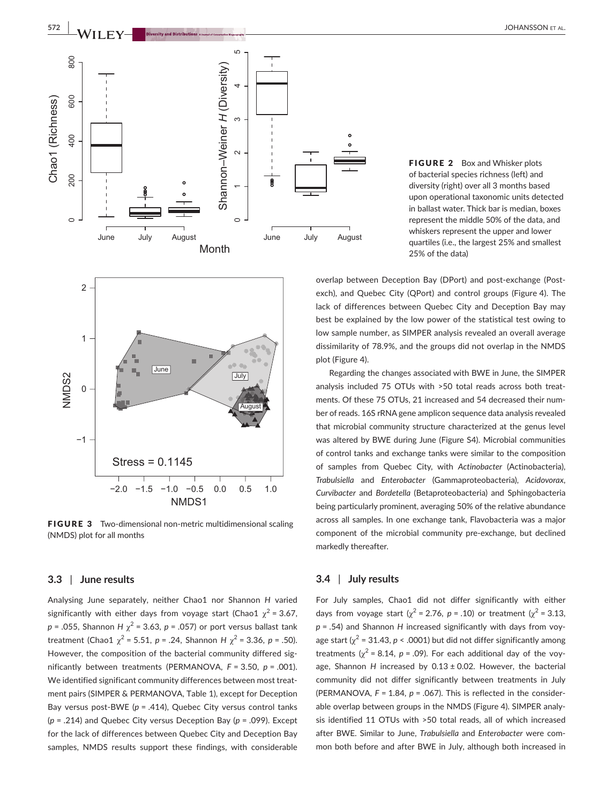

FIGURE 2 Box and Whisker plots of bacterial species richness (left) and diversity (right) over all 3 months based upon operational taxonomic units detected in ballast water. Thick bar is median, boxes represent the middle 50% of the data, and whiskers represent the upper and lower quartiles (i.e., the largest 25% and smallest 25% of the data)



FIGURE 3 Two-dimensional non-metric multidimensional scaling (NMDS) plot for all months

#### **3.3** | **June results**

Analysing June separately, neither Chao1 nor Shannon *H* varied significantly with either days from voyage start (Chao1  $\chi^2$  = 3.67,  $p = .055$ , Shannon *H*  $\chi^2$  = 3.63,  $p = .057$ ) or port versus ballast tank treatment (Chao1  $\chi^2$  = 5.51, *p* = .24, Shannon *H*  $\chi^2$  = 3.36, *p* = .50). However, the composition of the bacterial community differed significantly between treatments (PERMANOVA, *F* = 3.50, *p* = .001). We identified significant community differences between most treatment pairs (SIMPER & PERMANOVA, Table 1), except for Deception Bay versus post-BWE (*p* = .414), Quebec City versus control tanks (*p* = .214) and Quebec City versus Deception Bay (*p* = .099). Except for the lack of differences between Quebec City and Deception Bay samples, NMDS results support these findings, with considerable

overlap between Deception Bay (DPort) and post-exchange (Postexch), and Quebec City (QPort) and control groups (Figure 4). The lack of differences between Quebec City and Deception Bay may best be explained by the low power of the statistical test owing to low sample number, as SIMPER analysis revealed an overall average dissimilarity of 78.9%, and the groups did not overlap in the NMDS plot (Figure 4).

Regarding the changes associated with BWE in June, the SIMPER analysis included 75 OTUs with >50 total reads across both treatments. Of these 75 OTUs, 21 increased and 54 decreased their number of reads. 16S rRNA gene amplicon sequence data analysis revealed that microbial community structure characterized at the genus level was altered by BWE during June (Figure S4). Microbial communities of control tanks and exchange tanks were similar to the composition of samples from Quebec City, with *Actinobacter* (Actinobacteria), *Trabulsiella* and *Enterobacter* (Gammaproteobacteria), *Acidovorax*, *Curvibacter* and *Bordetella* (Betaproteobacteria) and Sphingobacteria being particularly prominent, averaging 50% of the relative abundance across all samples. In one exchange tank, Flavobacteria was a major component of the microbial community pre-exchange, but declined markedly thereafter.

# **3.4** | **July results**

For July samples, Chao1 did not differ significantly with either days from voyage start ( $\chi^2$  = 2.76, *p* = .10) or treatment ( $\chi^2$  = 3.13, *p* = .54) and Shannon *H* increased significantly with days from voyage start ( $\chi^2$  = 31.43, *p* < .0001) but did not differ significantly among treatments ( $\chi^2$  = 8.14, *p* = .09). For each additional day of the voyage, Shannon *H* increased by 0.13 ± 0.02. However, the bacterial community did not differ significantly between treatments in July (PERMANOVA,  $F = 1.84$ ,  $p = .067$ ). This is reflected in the considerable overlap between groups in the NMDS (Figure 4). SIMPER analysis identified 11 OTUs with >50 total reads, all of which increased after BWE. Similar to June, *Trabulsiella* and *Enterobacter* were common both before and after BWE in July, although both increased in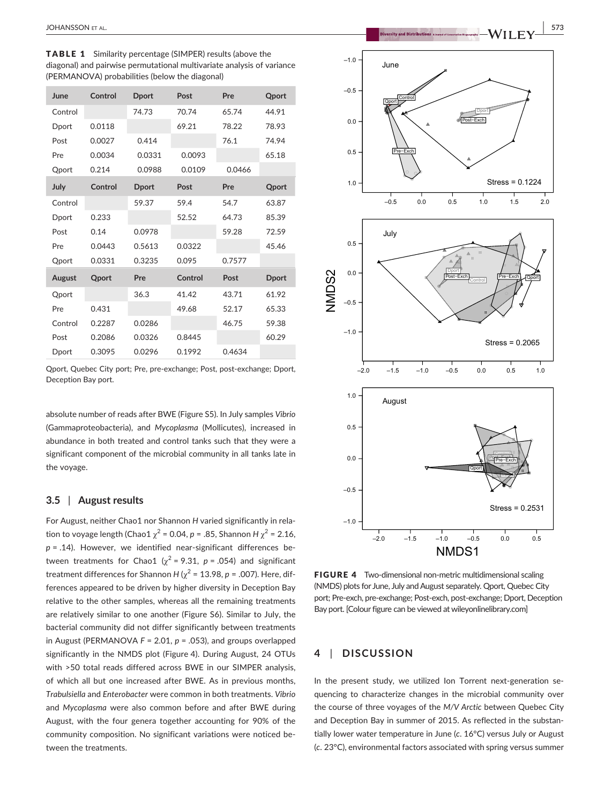TABLE 1 Similarity percentage (SIMPER) results (above the diagonal) and pairwise permutational multivariate analysis of variance (PERMANOVA) probabilities (below the diagonal)

| June    | Control      | <b>Dport</b> | Post    | Pre    | <b>Qport</b> |
|---------|--------------|--------------|---------|--------|--------------|
| Control |              | 74.73        | 70.74   | 65.74  | 44.91        |
| Dport   | 0.0118       |              | 69.21   | 78.22  | 78.93        |
| Post    | 0.0027       | 0.414        |         | 76.1   | 74.94        |
| Pre     | 0.0034       | 0.0331       | 0.0093  |        | 65.18        |
| Qport   | 0.214        | 0.0988       | 0.0109  | 0.0466 |              |
| July    | Control      | <b>Dport</b> | Post    | Pre    | <b>Qport</b> |
| Control |              | 59.37        | 59.4    | 54.7   | 63.87        |
| Dport   | 0.233        |              | 52.52   | 64.73  | 85.39        |
| Post    | 0.14         | 0.0978       |         | 59.28  | 72.59        |
| Pre     | 0.0443       | 0.5613       | 0.0322  |        | 45.46        |
| Qport   | 0.0331       | 0.3235       | 0.095   | 0.7577 |              |
| August  | <b>Qport</b> | Pre          | Control | Post   | <b>Dport</b> |
| Qport   |              | 36.3         | 41.42   | 43.71  | 61.92        |
| Pre     | 0.431        |              | 49.68   | 52.17  | 65.33        |
| Control | 0.2287       | 0.0286       |         | 46.75  | 59.38        |
| Post    | 0.2086       | 0.0326       | 0.8445  |        | 60.29        |
| Dport   | 0.3095       | 0.0296       | 0.1992  | 0.4634 |              |

Qport, Quebec City port; Pre, pre-exchange; Post, post-exchange; Dport, Deception Bay port.

absolute number of reads after BWE (Figure S5). In July samples *Vibrio* (Gammaproteobacteria), and *Mycoplasma* (Mollicutes), increased in abundance in both treated and control tanks such that they were a significant component of the microbial community in all tanks late in the voyage.

# **3.5** | **August results**

For August, neither Chao1 nor Shannon *H* varied significantly in relation to voyage length (Chao1  $\chi^2$  = 0.04, *p* = .85, Shannon *H*  $\chi^2$  = 2.16, *p* = .14). However, we identified near-significant differences between treatments for Chao1 ( $\chi^2$  = 9.31,  $p$  = .054) and significant treatment differences for Shannon *H* ( $\chi^2$  = 13.98, *p* = .007). Here, differences appeared to be driven by higher diversity in Deception Bay relative to the other samples, whereas all the remaining treatments are relatively similar to one another (Figure S6). Similar to July, the bacterial community did not differ significantly between treatments in August (PERMANOVA *F* = 2.01, *p* = .053), and groups overlapped significantly in the NMDS plot (Figure 4). During August, 24 OTUs with >50 total reads differed across BWE in our SIMPER analysis, of which all but one increased after BWE. As in previous months, *Trabulsiella* and *Enterobacter* were common in both treatments. *Vibrio* and *Mycoplasma* were also common before and after BWE during August, with the four genera together accounting for 90% of the community composition. No significant variations were noticed between the treatments.

 **|** JOHANSSON et al. **573**



FIGURE 4 Two-dimensional non-metric multidimensional scaling (NMDS) plots for June, July and August separately. Qport, Quebec City port; Pre-exch, pre-exchange; Post-exch, post-exchange; Dport, Deception Bay port. [Colour figure can be viewed at wileyonlinelibrary.com]

# **4** | **DISCUSSION**

In the present study, we utilized Ion Torrent next-generation sequencing to characterize changes in the microbial community over the course of three voyages of the *M/V Arctic* between Quebec City and Deception Bay in summer of 2015. As reflected in the substantially lower water temperature in June (*c*. 16°C) versus July or August (*c*. 23°C), environmental factors associated with spring versus summer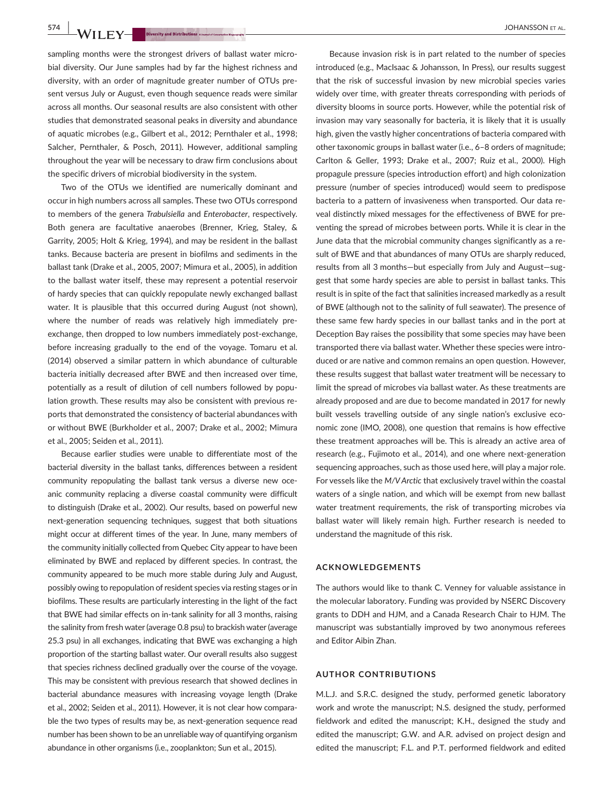**574 |**  JOHANSSON et al.

sampling months were the strongest drivers of ballast water microbial diversity. Our June samples had by far the highest richness and diversity, with an order of magnitude greater number of OTUs present versus July or August, even though sequence reads were similar across all months. Our seasonal results are also consistent with other studies that demonstrated seasonal peaks in diversity and abundance of aquatic microbes (e.g., Gilbert et al., 2012; Pernthaler et al., 1998; Salcher, Pernthaler, & Posch, 2011). However, additional sampling throughout the year will be necessary to draw firm conclusions about the specific drivers of microbial biodiversity in the system.

Two of the OTUs we identified are numerically dominant and occur in high numbers across all samples. These two OTUs correspond to members of the genera *Trabulsiella* and *Enterobacter*, respectively. Both genera are facultative anaerobes (Brenner, Krieg, Staley, & Garrity, 2005; Holt & Krieg, 1994), and may be resident in the ballast tanks. Because bacteria are present in biofilms and sediments in the ballast tank (Drake et al., 2005, 2007; Mimura et al., 2005), in addition to the ballast water itself, these may represent a potential reservoir of hardy species that can quickly repopulate newly exchanged ballast water. It is plausible that this occurred during August (not shown), where the number of reads was relatively high immediately preexchange, then dropped to low numbers immediately post-exchange, before increasing gradually to the end of the voyage. Tomaru et al. (2014) observed a similar pattern in which abundance of culturable bacteria initially decreased after BWE and then increased over time, potentially as a result of dilution of cell numbers followed by population growth. These results may also be consistent with previous reports that demonstrated the consistency of bacterial abundances with or without BWE (Burkholder et al., 2007; Drake et al., 2002; Mimura et al., 2005; Seiden et al., 2011).

Because earlier studies were unable to differentiate most of the bacterial diversity in the ballast tanks, differences between a resident community repopulating the ballast tank versus a diverse new oceanic community replacing a diverse coastal community were difficult to distinguish (Drake et al., 2002). Our results, based on powerful new next-generation sequencing techniques, suggest that both situations might occur at different times of the year. In June, many members of the community initially collected from Quebec City appear to have been eliminated by BWE and replaced by different species. In contrast, the community appeared to be much more stable during July and August, possibly owing to repopulation of resident species via resting stages or in biofilms. These results are particularly interesting in the light of the fact that BWE had similar effects on in-tank salinity for all 3 months, raising the salinity from fresh water (average 0.8 psu) to brackish water (average 25.3 psu) in all exchanges, indicating that BWE was exchanging a high proportion of the starting ballast water. Our overall results also suggest that species richness declined gradually over the course of the voyage. This may be consistent with previous research that showed declines in bacterial abundance measures with increasing voyage length (Drake et al., 2002; Seiden et al., 2011). However, it is not clear how comparable the two types of results may be, as next-generation sequence read number has been shown to be an unreliable way of quantifying organism abundance in other organisms (i.e., zooplankton; Sun et al., 2015).

Because invasion risk is in part related to the number of species introduced (e.g., MacIsaac & Johansson, In Press), our results suggest that the risk of successful invasion by new microbial species varies widely over time, with greater threats corresponding with periods of diversity blooms in source ports. However, while the potential risk of invasion may vary seasonally for bacteria, it is likely that it is usually high, given the vastly higher concentrations of bacteria compared with other taxonomic groups in ballast water (i.e., 6–8 orders of magnitude; Carlton & Geller, 1993; Drake et al., 2007; Ruiz et al., 2000). High propagule pressure (species introduction effort) and high colonization pressure (number of species introduced) would seem to predispose bacteria to a pattern of invasiveness when transported. Our data reveal distinctly mixed messages for the effectiveness of BWE for preventing the spread of microbes between ports. While it is clear in the June data that the microbial community changes significantly as a result of BWE and that abundances of many OTUs are sharply reduced, results from all 3 months—but especially from July and August—suggest that some hardy species are able to persist in ballast tanks. This result is in spite of the fact that salinities increased markedly as a result of BWE (although not to the salinity of full seawater). The presence of these same few hardy species in our ballast tanks and in the port at Deception Bay raises the possibility that some species may have been transported there via ballast water. Whether these species were introduced or are native and common remains an open question. However, these results suggest that ballast water treatment will be necessary to limit the spread of microbes via ballast water. As these treatments are already proposed and are due to become mandated in 2017 for newly built vessels travelling outside of any single nation's exclusive economic zone (IMO, 2008), one question that remains is how effective these treatment approaches will be. This is already an active area of research (e.g., Fujimoto et al., 2014), and one where next-generation sequencing approaches, such as those used here, will play a major role. For vessels like the *M/V Arctic* that exclusively travel within the coastal waters of a single nation, and which will be exempt from new ballast water treatment requirements, the risk of transporting microbes via ballast water will likely remain high. Further research is needed to understand the magnitude of this risk.

#### **ACKNOWLEDGEMENTS**

The authors would like to thank C. Venney for valuable assistance in the molecular laboratory. Funding was provided by NSERC Discovery grants to DDH and HJM, and a Canada Research Chair to HJM. The manuscript was substantially improved by two anonymous referees and Editor Aibin Zhan.

## **AUTHOR CONTRIBUTIONS**

M.L.J. and S.R.C. designed the study, performed genetic laboratory work and wrote the manuscript; N.S. designed the study, performed fieldwork and edited the manuscript; K.H., designed the study and edited the manuscript; G.W. and A.R. advised on project design and edited the manuscript; F.L. and P.T. performed fieldwork and edited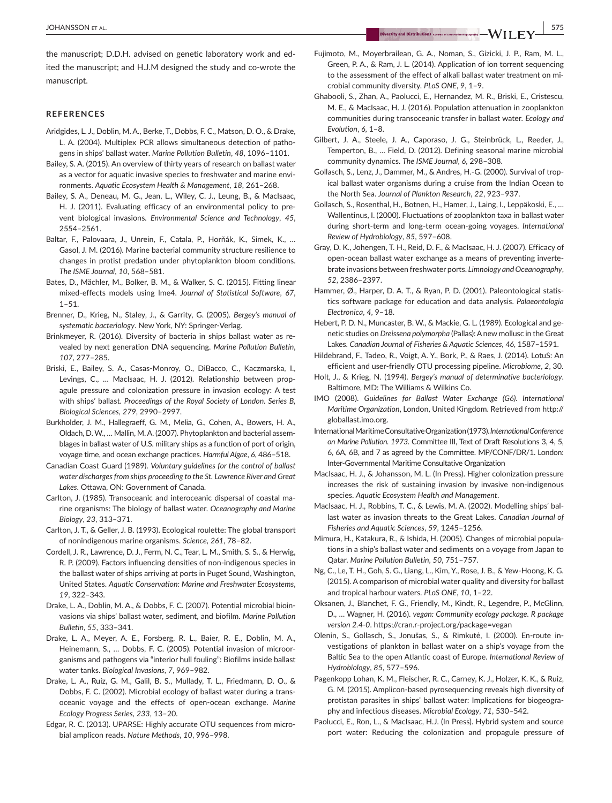## **REFERENCES**

- Aridgides, L. J., Doblin, M. A., Berke, T., Dobbs, F. C., Matson, D. O., & Drake, L. A. (2004). Multiplex PCR allows simultaneous detection of pathogens in ships' ballast water. *Marine Pollution Bulletin*, *48*, 1096–1101.
- Bailey, S. A. (2015). An overview of thirty years of research on ballast water as a vector for aquatic invasive species to freshwater and marine environments. *Aquatic Ecosystem Health & Management*, *18*, 261–268.
- Bailey, S. A., Deneau, M. G., Jean, L., Wiley, C. J., Leung, B., & MacIsaac, H. J. (2011). Evaluating efficacy of an environmental policy to prevent biological invasions. *Environmental Science and Technology*, *45*, 2554–2561.
- Baltar, F., Palovaara, J., Unrein, F., Catala, P., Horňák, K., Simek, K., … Gasol, J. M. (2016). Marine bacterial community structure resilience to changes in protist predation under phytoplankton bloom conditions. *The ISME Journal*, *10*, 568–581.
- Bates, D., Mächler, M., Bolker, B. M., & Walker, S. C. (2015). Fitting linear mixed-effects models using lme4. *Journal of Statistical Software*, *67*,  $1 - 51.$
- Brenner, D., Krieg, N., Staley, J., & Garrity, G. (2005). *Bergey's manual of systematic bacteriology*. New York, NY: Springer-Verlag.
- Brinkmeyer, R. (2016). Diversity of bacteria in ships ballast water as revealed by next generation DNA sequencing. *Marine Pollution Bulletin*, *107*, 277–285.
- Briski, E., Bailey, S. A., Casas-Monroy, O., DiBacco, C., Kaczmarska, I., Levings, C., … MacIsaac, H. J. (2012). Relationship between propagule pressure and colonization pressure in invasion ecology: A test with ships' ballast. *Proceedings of the Royal Society of London. Series B, Biological Sciences*, *279*, 2990–2997.
- Burkholder, J. M., Hallegraeff, G. M., Melia, G., Cohen, A., Bowers, H. A., Oldach, D.W., … Mallin, M.A. (2007). Phytoplankton and bacterial assemblages in ballast water of U.S. military ships as a function of port of origin, voyage time, and ocean exchange practices. *Harmful Algae*, *6*, 486–518.
- Canadian Coast Guard (1989). *Voluntary guidelines for the control of ballast water discharges from ships proceeding to the St. Lawrence River and Great Lakes*. Ottawa, ON: Government of Canada.
- Carlton, J. (1985). Transoceanic and interoceanic dispersal of coastal marine organisms: The biology of ballast water. *Oceanography and Marine Biology*, *23*, 313–371.
- Carlton, J. T., & Geller, J. B. (1993). Ecological roulette: The global transport of nonindigenous marine organisms. *Science*, *261*, 78–82.
- Cordell, J. R., Lawrence, D. J., Ferm, N. C., Tear, L. M., Smith, S. S., & Herwig, R. P. (2009). Factors influencing densities of non-indigenous species in the ballast water of ships arriving at ports in Puget Sound, Washington, United States. *Aquatic Conservation: Marine and Freshwater Ecosystems*, *19*, 322–343.
- Drake, L. A., Doblin, M. A., & Dobbs, F. C. (2007). Potential microbial bioinvasions via ships' ballast water, sediment, and biofilm. *Marine Pollution Bulletin*, *55*, 333–341.
- Drake, L. A., Meyer, A. E., Forsberg, R. L., Baier, R. E., Doblin, M. A., Heinemann, S., … Dobbs, F. C. (2005). Potential invasion of microorganisms and pathogens via "interior hull fouling": Biofilms inside ballast water tanks. *Biological Invasions*, *7*, 969–982.
- Drake, L. A., Ruiz, G. M., Galil, B. S., Mullady, T. L., Friedmann, D. O., & Dobbs, F. C. (2002). Microbial ecology of ballast water during a transoceanic voyage and the effects of open-ocean exchange. *Marine Ecology Progress Series*, *233*, 13–20.
- Edgar, R. C. (2013). UPARSE: Highly accurate OTU sequences from microbial amplicon reads. *Nature Methods*, *10*, 996–998.
- Fujimoto, M., Moyerbrailean, G. A., Noman, S., Gizicki, J. P., Ram, M. L., Green, P. A., & Ram, J. L. (2014). Application of ion torrent sequencing to the assessment of the effect of alkali ballast water treatment on microbial community diversity. *PLoS ONE*, *9*, 1–9.
- Ghabooli, S., Zhan, A., Paolucci, E., Hernandez, M. R., Briski, E., Cristescu, M. E., & MacIsaac, H. J. (2016). Population attenuation in zooplankton communities during transoceanic transfer in ballast water. *Ecology and Evolution*, *6*, 1–8.
- Gilbert, J. A., Steele, J. A., Caporaso, J. G., Steinbrück, L., Reeder, J., Temperton, B., … Field, D. (2012). Defining seasonal marine microbial community dynamics. *The ISME Journal*, *6*, 298–308.
- Gollasch, S., Lenz, J., Dammer, M., & Andres, H.-G. (2000). Survival of tropical ballast water organisms during a cruise from the Indian Ocean to the North Sea. *Journal of Plankton Research*, *22*, 923–937.
- Gollasch, S., Rosenthal, H., Botnen, H., Hamer, J., Laing, I., Leppäkoski, E., … Wallentinus, I. (2000). Fluctuations of zooplankton taxa in ballast water during short-term and long-term ocean-going voyages. *International Review of Hydrobiology*, *85*, 597–608.
- Gray, D. K., Johengen, T. H., Reid, D. F., & MacIsaac, H. J. (2007). Efficacy of open-ocean ballast water exchange as a means of preventing invertebrate invasions between freshwater ports. *Limnology and Oceanography*, *52*, 2386–2397.
- Hammer, Ø., Harper, D. A. T., & Ryan, P. D. (2001). Paleontological statistics software package for education and data analysis. *Palaeontologia Electronica*, *4*, 9–18.
- Hebert, P. D. N., Muncaster, B. W., & Mackie, G. L. (1989). Ecological and genetic studies on *Dreissena polymorpha* (Pallas): A new mollusc in the Great Lakes. *Canadian Journal of Fisheries & Aquatic Sciences*, *46*, 1587–1591.
- Hildebrand, F., Tadeo, R., Voigt, A. Y., Bork, P., & Raes, J. (2014). LotuS: An efficient and user-friendly OTU processing pipeline. *Microbiome*, *2*, 30.
- Holt, J., & Krieg, N. (1994). *Bergey's manual of determinative bacteriology*. Baltimore, MD: The Williams & Wilkins Co.
- IMO (2008). *Guidelines for Ballast Water Exchange (G6). International Maritime Organization*, London, United Kingdom. Retrieved from [http://](http://globallast.imo.org) [globallast.imo.org](http://globallast.imo.org).
- International Maritime Consultative Organization (1973). *International Conference on Marine Pollution. 1973*. Committee III, Text of Draft Resolutions 3, 4, 5, 6, 6A, 6B, and 7 as agreed by the Committee. MP/CONF/DR/1. London: Inter-Governmental Maritime Consultative Organization
- MacIsaac, H. J., & Johansson, M. L. (In Press). Higher colonization pressure increases the risk of sustaining invasion by invasive non-indigenous species. *Aquatic Ecosystem Health and Management*.
- MacIsaac, H. J., Robbins, T. C., & Lewis, M. A. (2002). Modelling ships' ballast water as invasion threats to the Great Lakes. *Canadian Journal of Fisheries and Aquatic Sciences*, *59*, 1245–1256.
- Mimura, H., Katakura, R., & Ishida, H. (2005). Changes of microbial populations in a ship's ballast water and sediments on a voyage from Japan to Qatar. *Marine Pollution Bulletin*, *50*, 751–757.
- Ng, C., Le, T. H., Goh, S. G., Liang, L., Kim, Y., Rose, J. B., & Yew-Hoong, K. G. (2015). A comparison of microbial water quality and diversity for ballast and tropical harbour waters. *PLoS ONE*, *10*, 1–22.
- Oksanen, J., Blanchet, F. G., Friendly, M., Kindt, R., Legendre, P., McGlinn, D., … Wagner, H. (2016). *vegan: Community ecology package. R package version 2.4-0*. <https://cran.r-project.org/package=vegan>
- Olenin, S., Gollasch, S., Jonušas, S., & Rimkutė, I. (2000). En-route investigations of plankton in ballast water on a ship's voyage from the Baltic Sea to the open Atlantic coast of Europe. *International Review of Hydrobiology*, *85*, 577–596.
- Pagenkopp Lohan, K. M., Fleischer, R. C., Carney, K. J., Holzer, K. K., & Ruiz, G. M. (2015). Amplicon-based pyrosequencing reveals high diversity of protistan parasites in ships' ballast water: Implications for biogeography and infectious diseases. *Microbial Ecology*, *71*, 530–542.
- Paolucci, E., Ron, L., & MacIsaac, H.J. (In Press). Hybrid system and source port water: Reducing the colonization and propagule pressure of